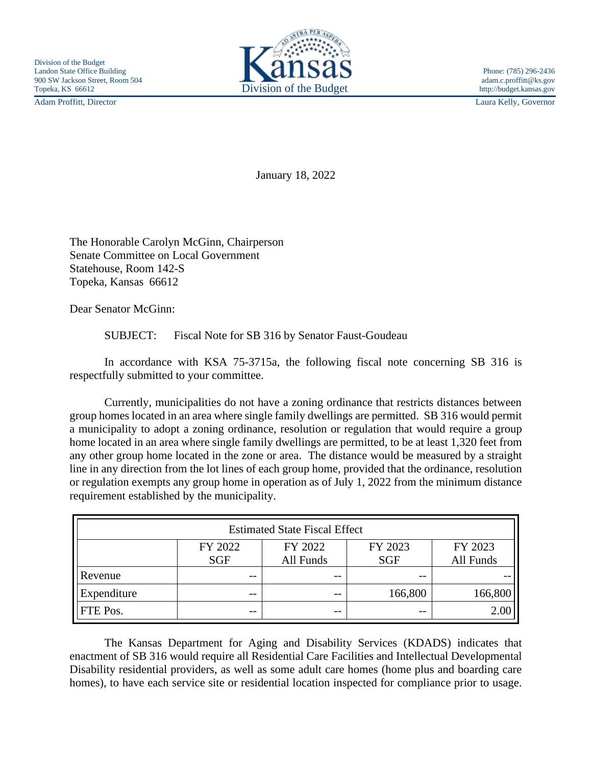Adam Proffitt, Director Laura Kelly, Governor



January 18, 2022

The Honorable Carolyn McGinn, Chairperson Senate Committee on Local Government Statehouse, Room 142-S Topeka, Kansas 66612

Dear Senator McGinn:

SUBJECT: Fiscal Note for SB 316 by Senator Faust-Goudeau

In accordance with KSA 75-3715a, the following fiscal note concerning SB 316 is respectfully submitted to your committee.

Currently, municipalities do not have a zoning ordinance that restricts distances between group homes located in an area where single family dwellings are permitted. SB 316 would permit a municipality to adopt a zoning ordinance, resolution or regulation that would require a group home located in an area where single family dwellings are permitted, to be at least 1,320 feet from any other group home located in the zone or area. The distance would be measured by a straight line in any direction from the lot lines of each group home, provided that the ordinance, resolution or regulation exempts any group home in operation as of July 1, 2022 from the minimum distance requirement established by the municipality.

| <b>Estimated State Fiscal Effect</b> |            |           |            |           |
|--------------------------------------|------------|-----------|------------|-----------|
|                                      | FY 2022    | FY 2022   | FY 2023    | FY 2023   |
|                                      | <b>SGF</b> | All Funds | <b>SGF</b> | All Funds |
| Revenue                              | --         | --        | $- -$      |           |
| Expenditure                          | --         | $ -$      | 166,800    | 166,800   |
| <b>FTE</b> Pos.                      | --         | $ -$      | $- -$      | 2.00      |

The Kansas Department for Aging and Disability Services (KDADS) indicates that enactment of SB 316 would require all Residential Care Facilities and Intellectual Developmental Disability residential providers, as well as some adult care homes (home plus and boarding care homes), to have each service site or residential location inspected for compliance prior to usage.